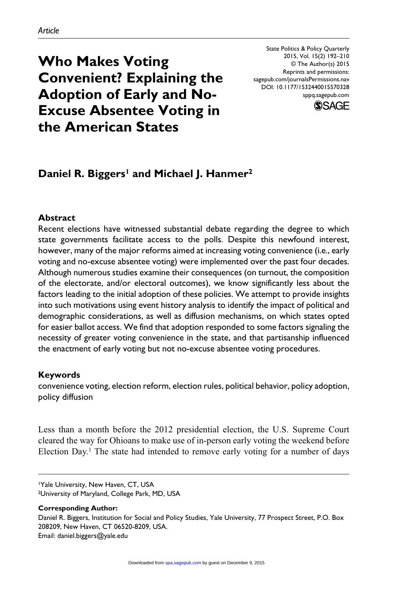**Who Makes Voting Convenient? Explaining the Adoption of Early and No-Excuse Absentee Voting in the American States**

State Politics & Policy Quarterly 2015, Vol. 15(2) 192–210 © The Author(s) 2015 Reprints and permissions: sagepub.com/journalsPermissions.nav DOI: 10.1177/1532440015570328 sppq.sagepub.com



# Daniel R. Biggers<sup>1</sup> and Michael J. Hanmer<sup>2</sup>

#### **Abstract**

Recent elections have witnessed substantial debate regarding the degree to which state governments facilitate access to the polls. Despite this newfound interest, however, many of the major reforms aimed at increasing voting convenience (i.e., early voting and no-excuse absentee voting) were implemented over the past four decades. Although numerous studies examine their consequences (on turnout, the composition of the electorate, and/or electoral outcomes), we know significantly less about the factors leading to the initial adoption of these policies. We attempt to provide insights into such motivations using event history analysis to identify the impact of political and demographic considerations, as well as diffusion mechanisms, on which states opted for easier ballot access. We find that adoption responded to some factors signaling the necessity of greater voting convenience in the state, and that partisanship influenced the enactment of early voting but not no-excuse absentee voting procedures.

#### **Keywords**

convenience voting, election reform, election rules, political behavior, policy adoption, policy diffusion

Less than a month before the 2012 presidential election, the U.S. Supreme Court cleared the way for Ohioans to make use of in-person early voting the weekend before Election Day.<sup>1</sup> The state had intended to remove early voting for a number of days

<sup>1</sup>Yale University, New Haven, CT, USA

<sup>2</sup>University of Maryland, College Park, MD, USA

**Corresponding Author:**

Daniel R. Biggers, Institution for Social and Policy Studies, Yale University, 77 Prospect Street, P.O. Box 208209, New Haven, CT 06520-8209, USA. Email: [daniel.biggers@yale.edu](mailto:daniel.biggers@yale.edu)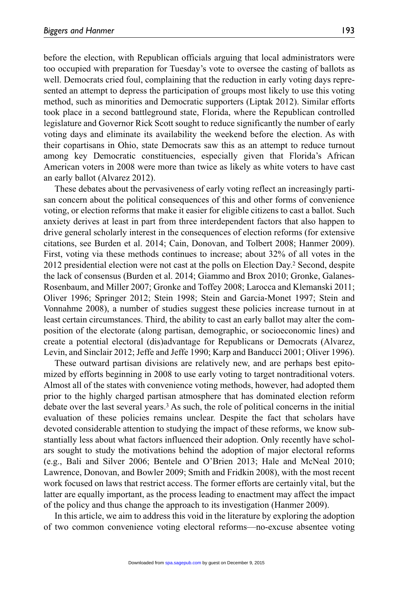before the election, with Republican officials arguing that local administrators were too occupied with preparation for Tuesday's vote to oversee the casting of ballots as well. Democrats cried foul, complaining that the reduction in early voting days represented an attempt to depress the participation of groups most likely to use this voting method, such as minorities and Democratic supporters (Liptak 2012). Similar efforts took place in a second battleground state, Florida, where the Republican controlled legislature and Governor Rick Scott sought to reduce significantly the number of early voting days and eliminate its availability the weekend before the election. As with their copartisans in Ohio, state Democrats saw this as an attempt to reduce turnout among key Democratic constituencies, especially given that Florida's African American voters in 2008 were more than twice as likely as white voters to have cast an early ballot (Alvarez 2012).

These debates about the pervasiveness of early voting reflect an increasingly partisan concern about the political consequences of this and other forms of convenience voting, or election reforms that make it easier for eligible citizens to cast a ballot. Such anxiety derives at least in part from three interdependent factors that also happen to drive general scholarly interest in the consequences of election reforms (for extensive citations, see Burden et al. 2014; Cain, Donovan, and Tolbert 2008; Hanmer 2009). First, voting via these methods continues to increase; about 32% of all votes in the 2012 presidential election were not cast at the polls on Election Day.2 Second, despite the lack of consensus (Burden et al. 2014; Giammo and Brox 2010; Gronke, Galanes-Rosenbaum, and Miller 2007; Gronke and Toffey 2008; Larocca and Klemanski 2011; Oliver 1996; Springer 2012; Stein 1998; Stein and Garcia-Monet 1997; Stein and Vonnahme 2008), a number of studies suggest these policies increase turnout in at least certain circumstances. Third, the ability to cast an early ballot may alter the composition of the electorate (along partisan, demographic, or socioeconomic lines) and create a potential electoral (dis)advantage for Republicans or Democrats (Alvarez, Levin, and Sinclair 2012; Jeffe and Jeffe 1990; Karp and Banducci 2001; Oliver 1996).

These outward partisan divisions are relatively new, and are perhaps best epitomized by efforts beginning in 2008 to use early voting to target nontraditional voters. Almost all of the states with convenience voting methods, however, had adopted them prior to the highly charged partisan atmosphere that has dominated election reform debate over the last several years.<sup>3</sup> As such, the role of political concerns in the initial evaluation of these policies remains unclear. Despite the fact that scholars have devoted considerable attention to studying the impact of these reforms, we know substantially less about what factors influenced their adoption. Only recently have scholars sought to study the motivations behind the adoption of major electoral reforms (e.g., Bali and Silver 2006; Bentele and O'Brien 2013; Hale and McNeal 2010; Lawrence, Donovan, and Bowler 2009; Smith and Fridkin 2008), with the most recent work focused on laws that restrict access. The former efforts are certainly vital, but the latter are equally important, as the process leading to enactment may affect the impact of the policy and thus change the approach to its investigation (Hanmer 2009).

In this article, we aim to address this void in the literature by exploring the adoption of two common convenience voting electoral reforms—no-excuse absentee voting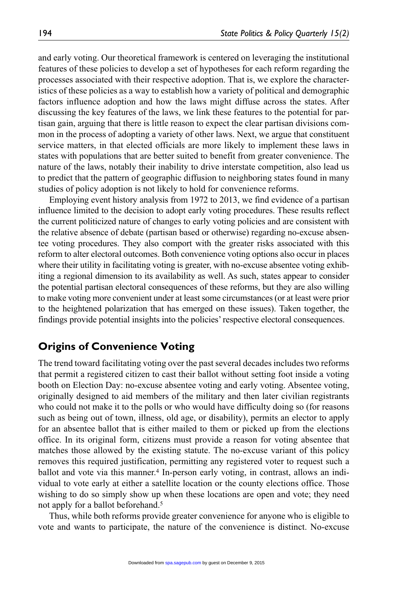and early voting. Our theoretical framework is centered on leveraging the institutional features of these policies to develop a set of hypotheses for each reform regarding the processes associated with their respective adoption. That is, we explore the characteristics of these policies as a way to establish how a variety of political and demographic factors influence adoption and how the laws might diffuse across the states. After discussing the key features of the laws, we link these features to the potential for partisan gain, arguing that there is little reason to expect the clear partisan divisions common in the process of adopting a variety of other laws. Next, we argue that constituent service matters, in that elected officials are more likely to implement these laws in states with populations that are better suited to benefit from greater convenience. The nature of the laws, notably their inability to drive interstate competition, also lead us to predict that the pattern of geographic diffusion to neighboring states found in many studies of policy adoption is not likely to hold for convenience reforms.

Employing event history analysis from 1972 to 2013, we find evidence of a partisan influence limited to the decision to adopt early voting procedures. These results reflect the current politicized nature of changes to early voting policies and are consistent with the relative absence of debate (partisan based or otherwise) regarding no-excuse absentee voting procedures. They also comport with the greater risks associated with this reform to alter electoral outcomes. Both convenience voting options also occur in places where their utility in facilitating voting is greater, with no-excuse absentee voting exhibiting a regional dimension to its availability as well. As such, states appear to consider the potential partisan electoral consequences of these reforms, but they are also willing to make voting more convenient under at least some circumstances (or at least were prior to the heightened polarization that has emerged on these issues). Taken together, the findings provide potential insights into the policies' respective electoral consequences.

## **Origins of Convenience Voting**

The trend toward facilitating voting over the past several decades includes two reforms that permit a registered citizen to cast their ballot without setting foot inside a voting booth on Election Day: no-excuse absentee voting and early voting. Absentee voting, originally designed to aid members of the military and then later civilian registrants who could not make it to the polls or who would have difficulty doing so (for reasons such as being out of town, illness, old age, or disability), permits an elector to apply for an absentee ballot that is either mailed to them or picked up from the elections office. In its original form, citizens must provide a reason for voting absentee that matches those allowed by the existing statute. The no-excuse variant of this policy removes this required justification, permitting any registered voter to request such a ballot and vote via this manner.<sup>4</sup> In-person early voting, in contrast, allows an individual to vote early at either a satellite location or the county elections office. Those wishing to do so simply show up when these locations are open and vote; they need not apply for a ballot beforehand.<sup>5</sup>

Thus, while both reforms provide greater convenience for anyone who is eligible to vote and wants to participate, the nature of the convenience is distinct. No-excuse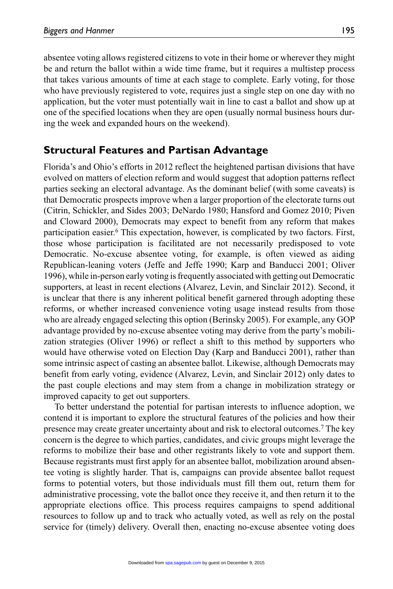absentee voting allows registered citizens to vote in their home or wherever they might be and return the ballot within a wide time frame, but it requires a multistep process that takes various amounts of time at each stage to complete. Early voting, for those who have previously registered to vote, requires just a single step on one day with no application, but the voter must potentially wait in line to cast a ballot and show up at one of the specified locations when they are open (usually normal business hours during the week and expanded hours on the weekend).

## **Structural Features and Partisan Advantage**

Florida's and Ohio's efforts in 2012 reflect the heightened partisan divisions that have evolved on matters of election reform and would suggest that adoption patterns reflect parties seeking an electoral advantage. As the dominant belief (with some caveats) is that Democratic prospects improve when a larger proportion of the electorate turns out (Citrin, Schickler, and Sides 2003; DeNardo 1980; Hansford and Gomez 2010; Piven and Cloward 2000), Democrats may expect to benefit from any reform that makes participation easier.6 This expectation, however, is complicated by two factors. First, those whose participation is facilitated are not necessarily predisposed to vote Democratic. No-excuse absentee voting, for example, is often viewed as aiding Republican-leaning voters (Jeffe and Jeffe 1990; Karp and Banducci 2001; Oliver 1996), while in-person early voting is frequently associated with getting out Democratic supporters, at least in recent elections (Alvarez, Levin, and Sinclair 2012). Second, it is unclear that there is any inherent political benefit garnered through adopting these reforms, or whether increased convenience voting usage instead results from those who are already engaged selecting this option (Berinsky 2005). For example, any GOP advantage provided by no-excuse absentee voting may derive from the party's mobilization strategies (Oliver 1996) or reflect a shift to this method by supporters who would have otherwise voted on Election Day (Karp and Banducci 2001), rather than some intrinsic aspect of casting an absentee ballot. Likewise, although Democrats may benefit from early voting, evidence (Alvarez, Levin, and Sinclair 2012) only dates to the past couple elections and may stem from a change in mobilization strategy or improved capacity to get out supporters.

To better understand the potential for partisan interests to influence adoption, we contend it is important to explore the structural features of the policies and how their presence may create greater uncertainty about and risk to electoral outcomes.7 The key concern is the degree to which parties, candidates, and civic groups might leverage the reforms to mobilize their base and other registrants likely to vote and support them. Because registrants must first apply for an absentee ballot, mobilization around absentee voting is slightly harder. That is, campaigns can provide absentee ballot request forms to potential voters, but those individuals must fill them out, return them for administrative processing, vote the ballot once they receive it, and then return it to the appropriate elections office. This process requires campaigns to spend additional resources to follow up and to track who actually voted, as well as rely on the postal service for (timely) delivery. Overall then, enacting no-excuse absentee voting does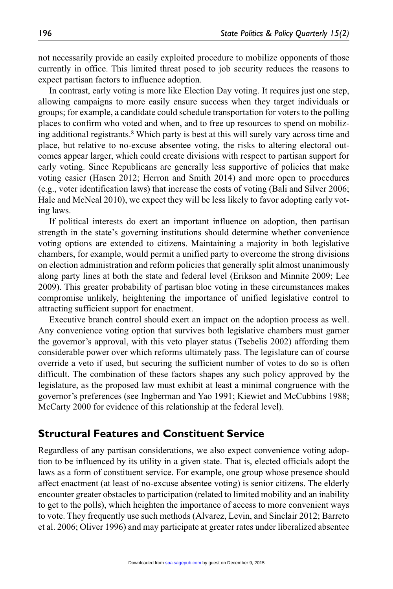not necessarily provide an easily exploited procedure to mobilize opponents of those currently in office. This limited threat posed to job security reduces the reasons to expect partisan factors to influence adoption.

In contrast, early voting is more like Election Day voting. It requires just one step, allowing campaigns to more easily ensure success when they target individuals or groups; for example, a candidate could schedule transportation for voters to the polling places to confirm who voted and when, and to free up resources to spend on mobilizing additional registrants.8 Which party is best at this will surely vary across time and place, but relative to no-excuse absentee voting, the risks to altering electoral outcomes appear larger, which could create divisions with respect to partisan support for early voting. Since Republicans are generally less supportive of policies that make voting easier (Hasen 2012; Herron and Smith 2014) and more open to procedures (e.g., voter identification laws) that increase the costs of voting (Bali and Silver 2006; Hale and McNeal 2010), we expect they will be less likely to favor adopting early voting laws.

If political interests do exert an important influence on adoption, then partisan strength in the state's governing institutions should determine whether convenience voting options are extended to citizens. Maintaining a majority in both legislative chambers, for example, would permit a unified party to overcome the strong divisions on election administration and reform policies that generally split almost unanimously along party lines at both the state and federal level (Erikson and Minnite 2009; Lee 2009). This greater probability of partisan bloc voting in these circumstances makes compromise unlikely, heightening the importance of unified legislative control to attracting sufficient support for enactment.

Executive branch control should exert an impact on the adoption process as well. Any convenience voting option that survives both legislative chambers must garner the governor's approval, with this veto player status (Tsebelis 2002) affording them considerable power over which reforms ultimately pass. The legislature can of course override a veto if used, but securing the sufficient number of votes to do so is often difficult. The combination of these factors shapes any such policy approved by the legislature, as the proposed law must exhibit at least a minimal congruence with the governor's preferences (see Ingberman and Yao 1991; Kiewiet and McCubbins 1988; McCarty 2000 for evidence of this relationship at the federal level).

#### **Structural Features and Constituent Service**

Regardless of any partisan considerations, we also expect convenience voting adoption to be influenced by its utility in a given state. That is, elected officials adopt the laws as a form of constituent service. For example, one group whose presence should affect enactment (at least of no-excuse absentee voting) is senior citizens. The elderly encounter greater obstacles to participation (related to limited mobility and an inability to get to the polls), which heighten the importance of access to more convenient ways to vote. They frequently use such methods (Alvarez, Levin, and Sinclair 2012; Barreto et al. 2006; Oliver 1996) and may participate at greater rates under liberalized absentee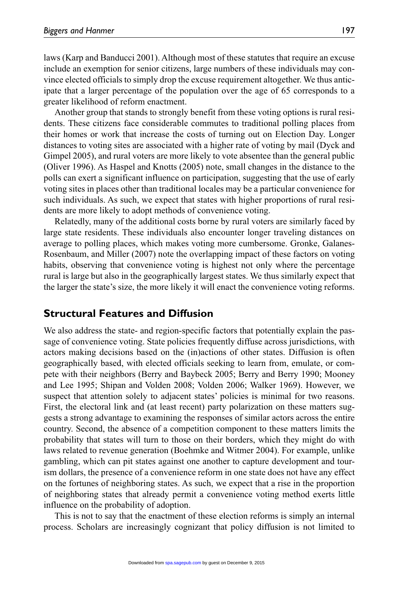laws (Karp and Banducci 2001). Although most of these statutes that require an excuse include an exemption for senior citizens, large numbers of these individuals may convince elected officials to simply drop the excuse requirement altogether. We thus anticipate that a larger percentage of the population over the age of 65 corresponds to a greater likelihood of reform enactment.

Another group that stands to strongly benefit from these voting options is rural residents. These citizens face considerable commutes to traditional polling places from their homes or work that increase the costs of turning out on Election Day. Longer distances to voting sites are associated with a higher rate of voting by mail (Dyck and Gimpel 2005), and rural voters are more likely to vote absentee than the general public (Oliver 1996). As Haspel and Knotts (2005) note, small changes in the distance to the polls can exert a significant influence on participation, suggesting that the use of early voting sites in places other than traditional locales may be a particular convenience for such individuals. As such, we expect that states with higher proportions of rural residents are more likely to adopt methods of convenience voting.

Relatedly, many of the additional costs borne by rural voters are similarly faced by large state residents. These individuals also encounter longer traveling distances on average to polling places, which makes voting more cumbersome. Gronke, Galanes-Rosenbaum, and Miller (2007) note the overlapping impact of these factors on voting habits, observing that convenience voting is highest not only where the percentage rural is large but also in the geographically largest states. We thus similarly expect that the larger the state's size, the more likely it will enact the convenience voting reforms.

## **Structural Features and Diffusion**

We also address the state- and region-specific factors that potentially explain the passage of convenience voting. State policies frequently diffuse across jurisdictions, with actors making decisions based on the (in)actions of other states. Diffusion is often geographically based, with elected officials seeking to learn from, emulate, or compete with their neighbors (Berry and Baybeck 2005; Berry and Berry 1990; Mooney and Lee 1995; Shipan and Volden 2008; Volden 2006; Walker 1969). However, we suspect that attention solely to adjacent states' policies is minimal for two reasons. First, the electoral link and (at least recent) party polarization on these matters suggests a strong advantage to examining the responses of similar actors across the entire country. Second, the absence of a competition component to these matters limits the probability that states will turn to those on their borders, which they might do with laws related to revenue generation (Boehmke and Witmer 2004). For example, unlike gambling, which can pit states against one another to capture development and tourism dollars, the presence of a convenience reform in one state does not have any effect on the fortunes of neighboring states. As such, we expect that a rise in the proportion of neighboring states that already permit a convenience voting method exerts little influence on the probability of adoption.

This is not to say that the enactment of these election reforms is simply an internal process. Scholars are increasingly cognizant that policy diffusion is not limited to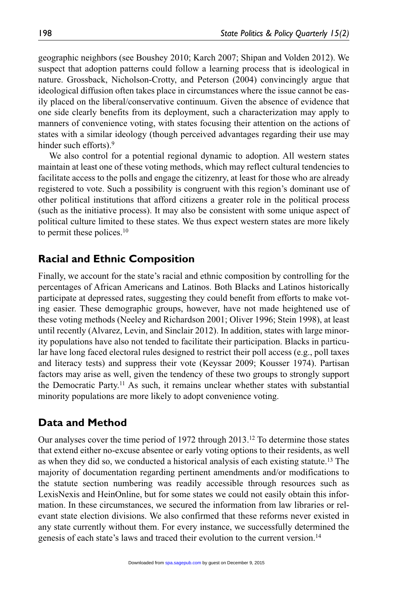geographic neighbors (see Boushey 2010; Karch 2007; Shipan and Volden 2012). We suspect that adoption patterns could follow a learning process that is ideological in nature. Grossback, Nicholson-Crotty, and Peterson (2004) convincingly argue that ideological diffusion often takes place in circumstances where the issue cannot be easily placed on the liberal/conservative continuum. Given the absence of evidence that one side clearly benefits from its deployment, such a characterization may apply to manners of convenience voting, with states focusing their attention on the actions of states with a similar ideology (though perceived advantages regarding their use may hinder such efforts).<sup>9</sup>

We also control for a potential regional dynamic to adoption. All western states maintain at least one of these voting methods, which may reflect cultural tendencies to facilitate access to the polls and engage the citizenry, at least for those who are already registered to vote. Such a possibility is congruent with this region's dominant use of other political institutions that afford citizens a greater role in the political process (such as the initiative process). It may also be consistent with some unique aspect of political culture limited to these states. We thus expect western states are more likely to permit these polices.10

## **Racial and Ethnic Composition**

Finally, we account for the state's racial and ethnic composition by controlling for the percentages of African Americans and Latinos. Both Blacks and Latinos historically participate at depressed rates, suggesting they could benefit from efforts to make voting easier. These demographic groups, however, have not made heightened use of these voting methods (Neeley and Richardson 2001; Oliver 1996; Stein 1998), at least until recently (Alvarez, Levin, and Sinclair 2012). In addition, states with large minority populations have also not tended to facilitate their participation. Blacks in particular have long faced electoral rules designed to restrict their poll access (e.g., poll taxes and literacy tests) and suppress their vote (Keyssar 2009; Kousser 1974). Partisan factors may arise as well, given the tendency of these two groups to strongly support the Democratic Party.11 As such, it remains unclear whether states with substantial minority populations are more likely to adopt convenience voting.

## **Data and Method**

Our analyses cover the time period of 1972 through 2013.12 To determine those states that extend either no-excuse absentee or early voting options to their residents, as well as when they did so, we conducted a historical analysis of each existing statute.13 The majority of documentation regarding pertinent amendments and/or modifications to the statute section numbering was readily accessible through resources such as LexisNexis and HeinOnline, but for some states we could not easily obtain this information. In these circumstances, we secured the information from law libraries or relevant state election divisions. We also confirmed that these reforms never existed in any state currently without them. For every instance, we successfully determined the genesis of each state's laws and traced their evolution to the current version.14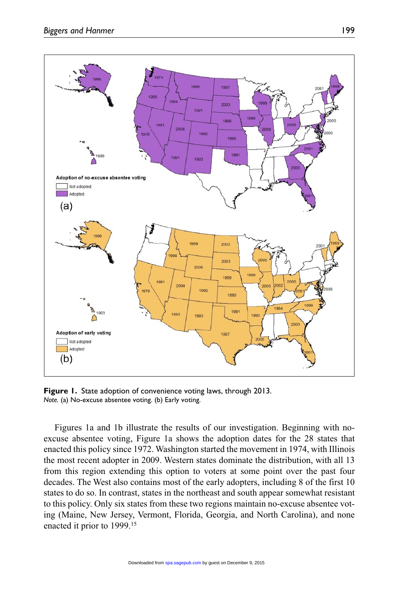

**Figure 1.** State adoption of convenience voting laws, through 2013. *Note.* (a) No-excuse absentee voting. (b) Early voting.

Figures 1a and 1b illustrate the results of our investigation. Beginning with noexcuse absentee voting, Figure 1a shows the adoption dates for the 28 states that enacted this policy since 1972. Washington started the movement in 1974, with Illinois the most recent adopter in 2009. Western states dominate the distribution, with all 13 from this region extending this option to voters at some point over the past four decades. The West also contains most of the early adopters, including 8 of the first 10 states to do so. In contrast, states in the northeast and south appear somewhat resistant to this policy. Only six states from these two regions maintain no-excuse absentee voting (Maine, New Jersey, Vermont, Florida, Georgia, and North Carolina), and none enacted it prior to 1999.15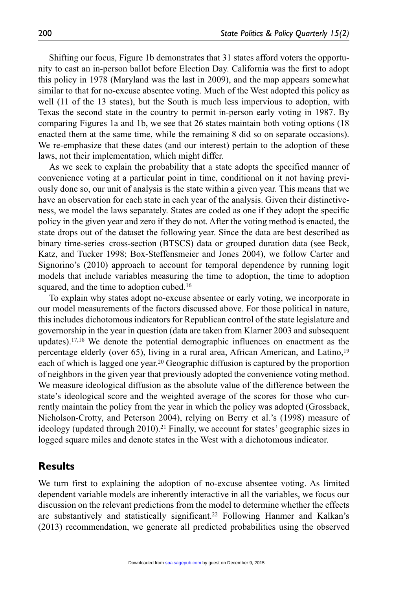Shifting our focus, Figure 1b demonstrates that 31 states afford voters the opportunity to cast an in-person ballot before Election Day. California was the first to adopt this policy in 1978 (Maryland was the last in 2009), and the map appears somewhat similar to that for no-excuse absentee voting. Much of the West adopted this policy as well (11 of the 13 states), but the South is much less impervious to adoption, with Texas the second state in the country to permit in-person early voting in 1987. By comparing Figures 1a and 1b, we see that 26 states maintain both voting options (18 enacted them at the same time, while the remaining 8 did so on separate occasions). We re-emphasize that these dates (and our interest) pertain to the adoption of these laws, not their implementation, which might differ.

As we seek to explain the probability that a state adopts the specified manner of convenience voting at a particular point in time, conditional on it not having previously done so, our unit of analysis is the state within a given year. This means that we have an observation for each state in each year of the analysis. Given their distinctiveness, we model the laws separately. States are coded as one if they adopt the specific policy in the given year and zero if they do not. After the voting method is enacted, the state drops out of the dataset the following year. Since the data are best described as binary time-series–cross-section (BTSCS) data or grouped duration data (see Beck, Katz, and Tucker 1998; Box-Steffensmeier and Jones 2004), we follow Carter and Signorino's (2010) approach to account for temporal dependence by running logit models that include variables measuring the time to adoption, the time to adoption squared, and the time to adoption cubed.<sup>16</sup>

To explain why states adopt no-excuse absentee or early voting, we incorporate in our model measurements of the factors discussed above. For those political in nature, this includes dichotomous indicators for Republican control of the state legislature and governorship in the year in question (data are taken from Klarner 2003 and subsequent updates).17,18 We denote the potential demographic influences on enactment as the percentage elderly (over 65), living in a rural area, African American, and Latino,19 each of which is lagged one year.20 Geographic diffusion is captured by the proportion of neighbors in the given year that previously adopted the convenience voting method. We measure ideological diffusion as the absolute value of the difference between the state's ideological score and the weighted average of the scores for those who currently maintain the policy from the year in which the policy was adopted (Grossback, Nicholson-Crotty, and Peterson 2004), relying on Berry et al.'s (1998) measure of ideology (updated through  $2010$ ).<sup>21</sup> Finally, we account for states' geographic sizes in logged square miles and denote states in the West with a dichotomous indicator.

### **Results**

We turn first to explaining the adoption of no-excuse absentee voting. As limited dependent variable models are inherently interactive in all the variables, we focus our discussion on the relevant predictions from the model to determine whether the effects are substantively and statistically significant.22 Following Hanmer and Kalkan's (2013) recommendation, we generate all predicted probabilities using the observed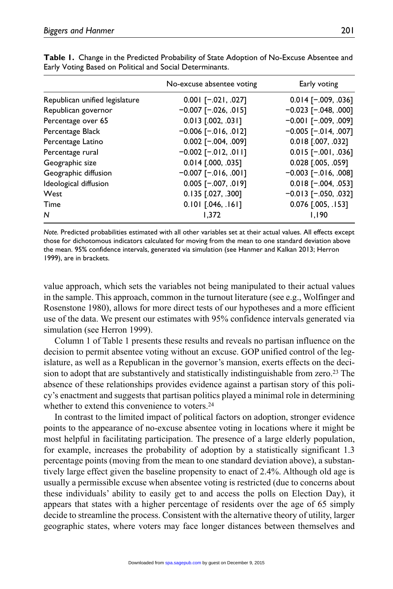|                                | No-excuse absentee voting    | Early voting                |
|--------------------------------|------------------------------|-----------------------------|
| Republican unified legislature | $0.001$ [-.021, .027]        | $0.014$ [-.009, .036]       |
| Republican governor            | $-0.007$ [ $-0.026$ , 015]   | $-0.023$ [ $-.048, .000$ ]  |
| Percentage over 65             | $0.013$ $[.002, .031]$       | $-0.001$ [ $-0.009$ , 009]  |
| Percentage Black               | $-0.006$ [ $-0.016$ , 0.012] | $-0.005$ [ $-.014, .007$ ]  |
| Percentage Latino              | $0.002$ [-.004, .009]        | $0.018$ [.007, .032]        |
| Percentage rural               | $-0.002$ [ $-0.012$ , 0.01]  | $0.015$ [-.001, .036]       |
| Geographic size                | $0.014$ [.000, .035]         | $0.028$ [.005, .059]        |
| Geographic diffusion           | $-0.007$ [ $-0.016$ , 001]   | $-0.003$ [ $-0.016$ , .008] |
| Ideological diffusion          | 0.005 [-.007, .019]          | $0.018$ [-.004, .053]       |
| West                           | $0.135$ [.027, .300]         | $-0.013$ [ $-.050, .032$ ]  |
| Time                           | $0.101$ $[.046, .161]$       | 0.076 [.005, .153]          |
| N                              | 1.372                        | 1.190                       |

**Table 1.** Change in the Predicted Probability of State Adoption of No-Excuse Absentee and Early Voting Based on Political and Social Determinants.

*Note.* Predicted probabilities estimated with all other variables set at their actual values. All effects except those for dichotomous indicators calculated for moving from the mean to one standard deviation above the mean. 95% confidence intervals, generated via simulation (see Hanmer and Kalkan 2013; Herron 1999), are in brackets.

value approach, which sets the variables not being manipulated to their actual values in the sample. This approach, common in the turnout literature (see e.g., Wolfinger and Rosenstone 1980), allows for more direct tests of our hypotheses and a more efficient use of the data. We present our estimates with 95% confidence intervals generated via simulation (see Herron 1999).

Column 1 of Table 1 presents these results and reveals no partisan influence on the decision to permit absentee voting without an excuse. GOP unified control of the legislature, as well as a Republican in the governor's mansion, exerts effects on the decision to adopt that are substantively and statistically indistinguishable from zero.23 The absence of these relationships provides evidence against a partisan story of this policy's enactment and suggests that partisan politics played a minimal role in determining whether to extend this convenience to voters.<sup>24</sup>

In contrast to the limited impact of political factors on adoption, stronger evidence points to the appearance of no-excuse absentee voting in locations where it might be most helpful in facilitating participation. The presence of a large elderly population, for example, increases the probability of adoption by a statistically significant 1.3 percentage points (moving from the mean to one standard deviation above), a substantively large effect given the baseline propensity to enact of 2.4%. Although old age is usually a permissible excuse when absentee voting is restricted (due to concerns about these individuals' ability to easily get to and access the polls on Election Day), it appears that states with a higher percentage of residents over the age of 65 simply decide to streamline the process. Consistent with the alternative theory of utility, larger geographic states, where voters may face longer distances between themselves and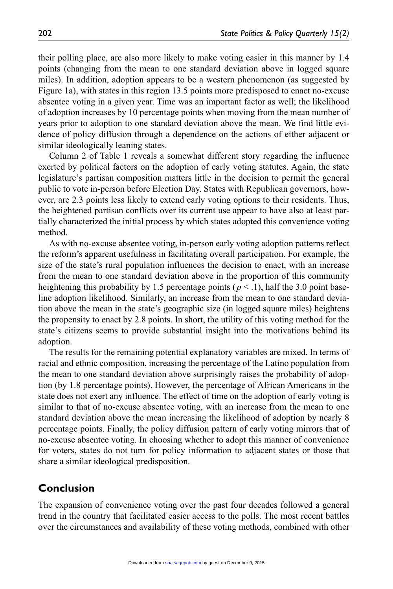their polling place, are also more likely to make voting easier in this manner by 1.4 points (changing from the mean to one standard deviation above in logged square miles). In addition, adoption appears to be a western phenomenon (as suggested by Figure 1a), with states in this region 13.5 points more predisposed to enact no-excuse absentee voting in a given year. Time was an important factor as well; the likelihood of adoption increases by 10 percentage points when moving from the mean number of years prior to adoption to one standard deviation above the mean. We find little evidence of policy diffusion through a dependence on the actions of either adjacent or similar ideologically leaning states.

Column 2 of Table 1 reveals a somewhat different story regarding the influence exerted by political factors on the adoption of early voting statutes. Again, the state legislature's partisan composition matters little in the decision to permit the general public to vote in-person before Election Day. States with Republican governors, however, are 2.3 points less likely to extend early voting options to their residents. Thus, the heightened partisan conflicts over its current use appear to have also at least partially characterized the initial process by which states adopted this convenience voting method.

As with no-excuse absentee voting, in-person early voting adoption patterns reflect the reform's apparent usefulness in facilitating overall participation. For example, the size of the state's rural population influences the decision to enact, with an increase from the mean to one standard deviation above in the proportion of this community heightening this probability by 1.5 percentage points ( $p < 1$ ), half the 3.0 point baseline adoption likelihood. Similarly, an increase from the mean to one standard deviation above the mean in the state's geographic size (in logged square miles) heightens the propensity to enact by 2.8 points. In short, the utility of this voting method for the state's citizens seems to provide substantial insight into the motivations behind its adoption.

The results for the remaining potential explanatory variables are mixed. In terms of racial and ethnic composition, increasing the percentage of the Latino population from the mean to one standard deviation above surprisingly raises the probability of adoption (by 1.8 percentage points). However, the percentage of African Americans in the state does not exert any influence. The effect of time on the adoption of early voting is similar to that of no-excuse absentee voting, with an increase from the mean to one standard deviation above the mean increasing the likelihood of adoption by nearly 8 percentage points. Finally, the policy diffusion pattern of early voting mirrors that of no-excuse absentee voting. In choosing whether to adopt this manner of convenience for voters, states do not turn for policy information to adjacent states or those that share a similar ideological predisposition.

## **Conclusion**

The expansion of convenience voting over the past four decades followed a general trend in the country that facilitated easier access to the polls. The most recent battles over the circumstances and availability of these voting methods, combined with other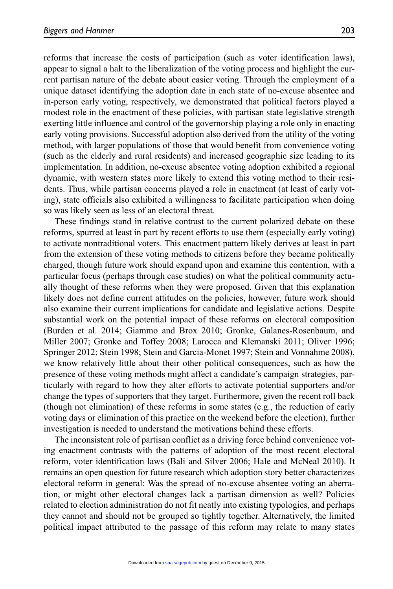reforms that increase the costs of participation (such as voter identification laws), appear to signal a halt to the liberalization of the voting process and highlight the current partisan nature of the debate about easier voting. Through the employment of a unique dataset identifying the adoption date in each state of no-excuse absentee and in-person early voting, respectively, we demonstrated that political factors played a modest role in the enactment of these policies, with partisan state legislative strength exerting little influence and control of the governorship playing a role only in enacting early voting provisions. Successful adoption also derived from the utility of the voting method, with larger populations of those that would benefit from convenience voting (such as the elderly and rural residents) and increased geographic size leading to its implementation. In addition, no-excuse absentee voting adoption exhibited a regional dynamic, with western states more likely to extend this voting method to their residents. Thus, while partisan concerns played a role in enactment (at least of early voting), state officials also exhibited a willingness to facilitate participation when doing so was likely seen as less of an electoral threat.

These findings stand in relative contrast to the current polarized debate on these reforms, spurred at least in part by recent efforts to use them (especially early voting) to activate nontraditional voters. This enactment pattern likely derives at least in part from the extension of these voting methods to citizens before they became politically charged, though future work should expand upon and examine this contention, with a particular focus (perhaps through case studies) on what the political community actually thought of these reforms when they were proposed. Given that this explanation likely does not define current attitudes on the policies, however, future work should also examine their current implications for candidate and legislative actions. Despite substantial work on the potential impact of these reforms on electoral composition (Burden et al. 2014; Giammo and Brox 2010; Gronke, Galanes-Rosenbaum, and Miller 2007; Gronke and Toffey 2008; Larocca and Klemanski 2011; Oliver 1996; Springer 2012; Stein 1998; Stein and Garcia-Monet 1997; Stein and Vonnahme 2008), we know relatively little about their other political consequences, such as how the presence of these voting methods might affect a candidate's campaign strategies, particularly with regard to how they alter efforts to activate potential supporters and/or change the types of supporters that they target. Furthermore, given the recent roll back (though not elimination) of these reforms in some states (e.g., the reduction of early voting days or elimination of this practice on the weekend before the election), further investigation is needed to understand the motivations behind these efforts.

The inconsistent role of partisan conflict as a driving force behind convenience voting enactment contrasts with the patterns of adoption of the most recent electoral reform, voter identification laws (Bali and Silver 2006; Hale and McNeal 2010). It remains an open question for future research which adoption story better characterizes electoral reform in general: Was the spread of no-excuse absentee voting an aberration, or might other electoral changes lack a partisan dimension as well? Policies related to election administration do not fit neatly into existing typologies, and perhaps they cannot and should not be grouped so tightly together. Alternatively, the limited political impact attributed to the passage of this reform may relate to many states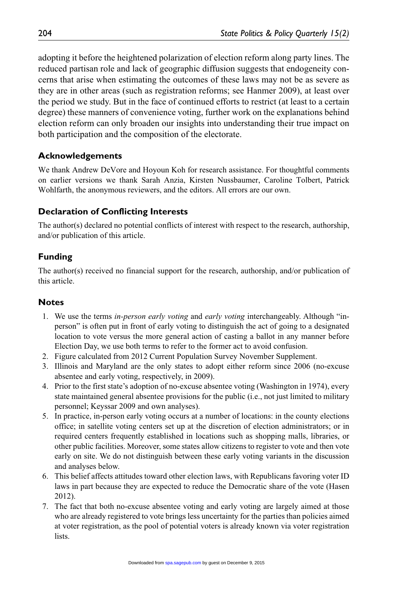adopting it before the heightened polarization of election reform along party lines. The reduced partisan role and lack of geographic diffusion suggests that endogeneity concerns that arise when estimating the outcomes of these laws may not be as severe as they are in other areas (such as registration reforms; see Hanmer 2009), at least over the period we study. But in the face of continued efforts to restrict (at least to a certain degree) these manners of convenience voting, further work on the explanations behind election reform can only broaden our insights into understanding their true impact on both participation and the composition of the electorate.

### **Acknowledgements**

We thank Andrew DeVore and Hoyoun Koh for research assistance. For thoughtful comments on earlier versions we thank Sarah Anzia, Kirsten Nussbaumer, Caroline Tolbert, Patrick Wohlfarth, the anonymous reviewers, and the editors. All errors are our own.

### **Declaration of Conflicting Interests**

The author(s) declared no potential conflicts of interest with respect to the research, authorship, and/or publication of this article.

## **Funding**

The author(s) received no financial support for the research, authorship, and/or publication of this article.

#### **Notes**

- 1. We use the terms *in-person early voting* and *early voting* interchangeably. Although "inperson" is often put in front of early voting to distinguish the act of going to a designated location to vote versus the more general action of casting a ballot in any manner before Election Day, we use both terms to refer to the former act to avoid confusion.
- 2. Figure calculated from 2012 Current Population Survey November Supplement.
- 3. Illinois and Maryland are the only states to adopt either reform since 2006 (no-excuse absentee and early voting, respectively, in 2009).
- 4. Prior to the first state's adoption of no-excuse absentee voting (Washington in 1974), every state maintained general absentee provisions for the public (i.e., not just limited to military personnel; Keyssar 2009 and own analyses).
- 5. In practice, in-person early voting occurs at a number of locations: in the county elections office; in satellite voting centers set up at the discretion of election administrators; or in required centers frequently established in locations such as shopping malls, libraries, or other public facilities. Moreover, some states allow citizens to register to vote and then vote early on site. We do not distinguish between these early voting variants in the discussion and analyses below.
- 6. This belief affects attitudes toward other election laws, with Republicans favoring voter ID laws in part because they are expected to reduce the Democratic share of the vote (Hasen 2012).
- 7. The fact that both no-excuse absentee voting and early voting are largely aimed at those who are already registered to vote brings less uncertainty for the parties than policies aimed at voter registration, as the pool of potential voters is already known via voter registration lists.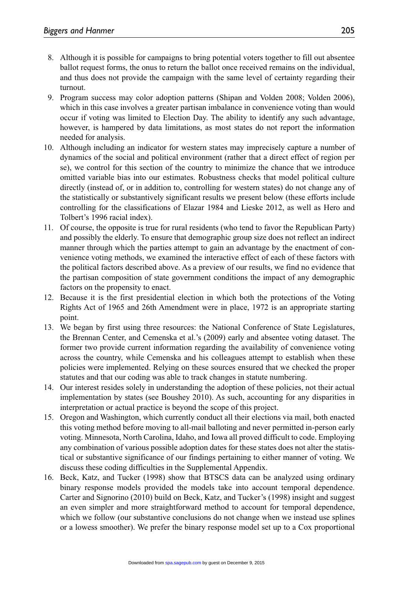- 8. Although it is possible for campaigns to bring potential voters together to fill out absentee ballot request forms, the onus to return the ballot once received remains on the individual, and thus does not provide the campaign with the same level of certainty regarding their turnout.
- 9. Program success may color adoption patterns (Shipan and Volden 2008; Volden 2006), which in this case involves a greater partisan imbalance in convenience voting than would occur if voting was limited to Election Day. The ability to identify any such advantage, however, is hampered by data limitations, as most states do not report the information needed for analysis.
- 10. Although including an indicator for western states may imprecisely capture a number of dynamics of the social and political environment (rather that a direct effect of region per se), we control for this section of the country to minimize the chance that we introduce omitted variable bias into our estimates. Robustness checks that model political culture directly (instead of, or in addition to, controlling for western states) do not change any of the statistically or substantively significant results we present below (these efforts include controlling for the classifications of Elazar 1984 and Lieske 2012, as well as Hero and Tolbert's 1996 racial index).
- 11. Of course, the opposite is true for rural residents (who tend to favor the Republican Party) and possibly the elderly. To ensure that demographic group size does not reflect an indirect manner through which the parties attempt to gain an advantage by the enactment of convenience voting methods, we examined the interactive effect of each of these factors with the political factors described above. As a preview of our results, we find no evidence that the partisan composition of state government conditions the impact of any demographic factors on the propensity to enact.
- 12. Because it is the first presidential election in which both the protections of the Voting Rights Act of 1965 and 26th Amendment were in place, 1972 is an appropriate starting point.
- 13. We began by first using three resources: the National Conference of State Legislatures, the Brennan Center, and Cemenska et al.'s (2009) early and absentee voting dataset. The former two provide current information regarding the availability of convenience voting across the country, while Cemenska and his colleagues attempt to establish when these policies were implemented. Relying on these sources ensured that we checked the proper statutes and that our coding was able to track changes in statute numbering.
- 14. Our interest resides solely in understanding the adoption of these policies, not their actual implementation by states (see Boushey 2010). As such, accounting for any disparities in interpretation or actual practice is beyond the scope of this project.
- 15. Oregon and Washington, which currently conduct all their elections via mail, both enacted this voting method before moving to all-mail balloting and never permitted in-person early voting. Minnesota, North Carolina, Idaho, and Iowa all proved difficult to code. Employing any combination of various possible adoption dates for these states does not alter the statistical or substantive significance of our findings pertaining to either manner of voting. We discuss these coding difficulties in the Supplemental Appendix.
- 16. Beck, Katz, and Tucker (1998) show that BTSCS data can be analyzed using ordinary binary response models provided the models take into account temporal dependence. Carter and Signorino (2010) build on Beck, Katz, and Tucker's (1998) insight and suggest an even simpler and more straightforward method to account for temporal dependence, which we follow (our substantive conclusions do not change when we instead use splines or a lowess smoother). We prefer the binary response model set up to a Cox proportional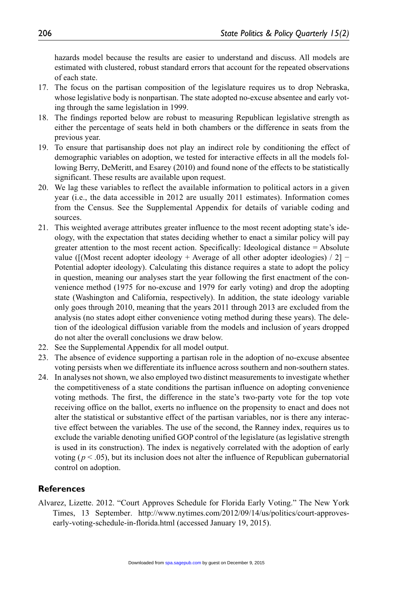hazards model because the results are easier to understand and discuss. All models are estimated with clustered, robust standard errors that account for the repeated observations of each state.

- 17. The focus on the partisan composition of the legislature requires us to drop Nebraska, whose legislative body is nonpartisan. The state adopted no-excuse absentee and early voting through the same legislation in 1999.
- 18. The findings reported below are robust to measuring Republican legislative strength as either the percentage of seats held in both chambers or the difference in seats from the previous year.
- 19. To ensure that partisanship does not play an indirect role by conditioning the effect of demographic variables on adoption, we tested for interactive effects in all the models following Berry, DeMeritt, and Esarey (2010) and found none of the effects to be statistically significant. These results are available upon request.
- 20. We lag these variables to reflect the available information to political actors in a given year (i.e., the data accessible in 2012 are usually 2011 estimates). Information comes from the Census. See the Supplemental Appendix for details of variable coding and sources.
- 21. This weighted average attributes greater influence to the most recent adopting state's ideology, with the expectation that states deciding whether to enact a similar policy will pay greater attention to the most recent action. Specifically: Ideological distance = Absolute value ( $[($ Most recent adopter ideology + Average of all other adopter ideologies) / 2] –Potential adopter ideology). Calculating this distance requires a state to adopt the policy in question, meaning our analyses start the year following the first enactment of the convenience method (1975 for no-excuse and 1979 for early voting) and drop the adopting state (Washington and California, respectively). In addition, the state ideology variable only goes through 2010, meaning that the years 2011 through 2013 are excluded from the analysis (no states adopt either convenience voting method during these years). The deletion of the ideological diffusion variable from the models and inclusion of years dropped do not alter the overall conclusions we draw below.
- 22. See the Supplemental Appendix for all model output.
- 23. The absence of evidence supporting a partisan role in the adoption of no-excuse absentee voting persists when we differentiate its influence across southern and non-southern states.
- 24. In analyses not shown, we also employed two distinct measurements to investigate whether the competitiveness of a state conditions the partisan influence on adopting convenience voting methods. The first, the difference in the state's two-party vote for the top vote receiving office on the ballot, exerts no influence on the propensity to enact and does not alter the statistical or substantive effect of the partisan variables, nor is there any interactive effect between the variables. The use of the second, the Ranney index, requires us to exclude the variable denoting unified GOP control of the legislature (as legislative strength is used in its construction). The index is negatively correlated with the adoption of early voting ( $p < .05$ ), but its inclusion does not alter the influence of Republican gubernatorial control on adoption.

#### **References**

Alvarez, Lizette. 2012. "Court Approves Schedule for Florida Early Voting." The New York Times, 13 September. [http://www.nytimes.com/2012/09/14/us/politics/court-approves](http://www.nytimes.com/2012/09/14/us/politics/court-approves-early-voting-schedule-in-florida.html)[early-voting-schedule-in-florida.html](http://www.nytimes.com/2012/09/14/us/politics/court-approves-early-voting-schedule-in-florida.html) (accessed January 19, 2015).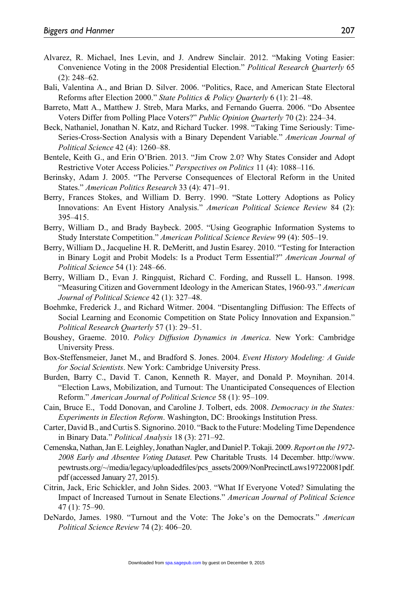- Alvarez, R. Michael, Ines Levin, and J. Andrew Sinclair. 2012. "Making Voting Easier: Convenience Voting in the 2008 Presidential Election." *Political Research Quarterly* 65 (2): 248–62.
- Bali, Valentina A., and Brian D. Silver. 2006. "Politics, Race, and American State Electoral Reforms after Election 2000." *State Politics & Policy Quarterly* 6 (1): 21–48.
- Barreto, Matt A., Matthew J. Streb, Mara Marks, and Fernando Guerra. 2006. "Do Absentee Voters Differ from Polling Place Voters?" *Public Opinion Quarterly* 70 (2): 224–34.
- Beck, Nathaniel, Jonathan N. Katz, and Richard Tucker. 1998. "Taking Time Seriously: Time-Series-Cross-Section Analysis with a Binary Dependent Variable." *American Journal of Political Science* 42 (4): 1260–88.
- Bentele, Keith G., and Erin O'Brien. 2013. "Jim Crow 2.0? Why States Consider and Adopt Restrictive Voter Access Policies." *Perspectives on Politics* 11 (4): 1088–116.
- Berinsky, Adam J. 2005. "The Perverse Consequences of Electoral Reform in the United States." *American Politics Research* 33 (4): 471–91.
- Berry, Frances Stokes, and William D. Berry. 1990. "State Lottery Adoptions as Policy Innovations: An Event History Analysis." *American Political Science Review* 84 (2): 395–415.
- Berry, William D., and Brady Baybeck. 2005. "Using Geographic Information Systems to Study Interstate Competition." *American Political Science Review* 99 (4): 505–19.
- Berry, William D., Jacqueline H. R. DeMeritt, and Justin Esarey. 2010. "Testing for Interaction in Binary Logit and Probit Models: Is a Product Term Essential?" *American Journal of Political Science* 54 (1): 248–66.
- Berry, William D., Evan J. Ringquist, Richard C. Fording, and Russell L. Hanson. 1998. "Measuring Citizen and Government Ideology in the American States, 1960-93." *American Journal of Political Science* 42 (1): 327–48.
- Boehmke, Frederick J., and Richard Witmer. 2004. "Disentangling Diffusion: The Effects of Social Learning and Economic Competition on State Policy Innovation and Expansion." *Political Research Quarterly* 57 (1): 29–51.
- Boushey, Graeme. 2010. *Policy Diffusion Dynamics in America*. New York: Cambridge University Press.
- Box-Steffensmeier, Janet M., and Bradford S. Jones. 2004. *Event History Modeling: A Guide for Social Scientists*. New York: Cambridge University Press.
- Burden, Barry C., David T. Canon, Kenneth R. Mayer, and Donald P. Moynihan. 2014. "Election Laws, Mobilization, and Turnout: The Unanticipated Consequences of Election Reform." *American Journal of Political Science* 58 (1): 95–109.
- Cain, Bruce E., Todd Donovan, and Caroline J. Tolbert, eds. 2008. *Democracy in the States: Experiments in Election Reform*. Washington, DC: Brookings Institution Press.
- Carter, David B., and Curtis S. Signorino. 2010. "Back to the Future: Modeling Time Dependence in Binary Data." *Political Analysis* 18 (3): 271–92.
- Cemenska, Nathan, Jan E. Leighley, Jonathan Nagler, and Daniel P. Tokaji. 2009. *Report on the 1972- 2008 Early and Absentee Voting Dataset*. Pew Charitable Trusts. 14 December. [http://www.](http://www.pewtrusts.org/~/media/legacy/uploadedfiles/pcs_assets/2009/NonPrecinctLaws197220081pdf.pdf) [pewtrusts.org/~/media/legacy/uploadedfiles/pcs\\_assets/2009/NonPrecinctLaws197220081pdf.](http://www.pewtrusts.org/~/media/legacy/uploadedfiles/pcs_assets/2009/NonPrecinctLaws197220081pdf.pdf) [pdf](http://www.pewtrusts.org/~/media/legacy/uploadedfiles/pcs_assets/2009/NonPrecinctLaws197220081pdf.pdf) (accessed January 27, 2015).
- Citrin, Jack, Eric Schickler, and John Sides. 2003. "What If Everyone Voted? Simulating the Impact of Increased Turnout in Senate Elections." *American Journal of Political Science* 47 (1): 75–90.
- DeNardo, James. 1980. "Turnout and the Vote: The Joke's on the Democrats." *American Political Science Review* 74 (2): 406–20.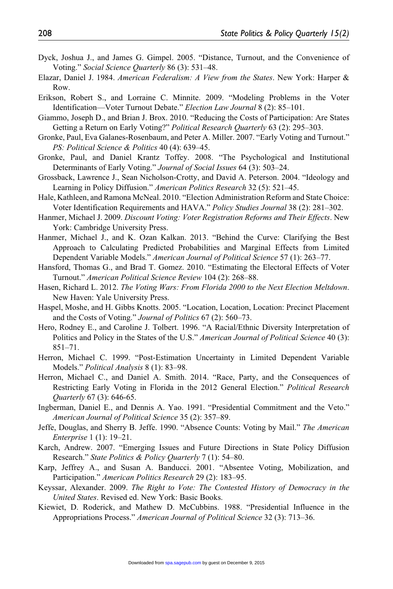- Dyck, Joshua J., and James G. Gimpel. 2005. "Distance, Turnout, and the Convenience of Voting." *Social Science Quarterly* 86 (3): 531–48.
- Elazar, Daniel J. 1984. *American Federalism: A View from the States*. New York: Harper & Row.
- Erikson, Robert S., and Lorraine C. Minnite. 2009. "Modeling Problems in the Voter Identification—Voter Turnout Debate." *Election Law Journal* 8 (2): 85–101.
- Giammo, Joseph D., and Brian J. Brox. 2010. "Reducing the Costs of Participation: Are States Getting a Return on Early Voting?" *Political Research Quarterly* 63 (2): 295–303.
- Gronke, Paul, Eva Galanes-Rosenbaum, and Peter A. Miller. 2007. "Early Voting and Turnout." *PS: Political Science & Politics* 40 (4): 639–45.
- Gronke, Paul, and Daniel Krantz Toffey. 2008. "The Psychological and Institutional Determinants of Early Voting." *Journal of Social Issues* 64 (3): 503–24.
- Grossback, Lawrence J., Sean Nicholson-Crotty, and David A. Peterson. 2004. "Ideology and Learning in Policy Diffusion." *American Politics Research* 32 (5): 521–45.
- Hale, Kathleen, and Ramona McNeal. 2010. "Election Administration Reform and State Choice: Voter Identification Requirements and HAVA." *Policy Studies Journal* 38 (2): 281–302.
- Hanmer, Michael J. 2009. *Discount Voting: Voter Registration Reforms and Their Effects*. New York: Cambridge University Press.
- Hanmer, Michael J., and K. Ozan Kalkan. 2013. "Behind the Curve: Clarifying the Best Approach to Calculating Predicted Probabilities and Marginal Effects from Limited Dependent Variable Models." *American Journal of Political Science* 57 (1): 263–77.
- Hansford, Thomas G., and Brad T. Gomez. 2010. "Estimating the Electoral Effects of Voter Turnout." *American Political Science Review* 104 (2): 268–88.
- Hasen, Richard L. 2012. *The Voting Wars: From Florida 2000 to the Next Election Meltdown*. New Haven: Yale University Press.
- Haspel, Moshe, and H. Gibbs Knotts. 2005. "Location, Location, Location: Precinct Placement and the Costs of Voting." *Journal of Politics* 67 (2): 560–73.
- Hero, Rodney E., and Caroline J. Tolbert. 1996. "A Racial/Ethnic Diversity Interpretation of Politics and Policy in the States of the U.S." *American Journal of Political Science* 40 (3): 851–71.
- Herron, Michael C. 1999. "Post-Estimation Uncertainty in Limited Dependent Variable Models." *Political Analysis* 8 (1): 83–98.
- Herron, Michael C., and Daniel A. Smith. 2014. "Race, Party, and the Consequences of Restricting Early Voting in Florida in the 2012 General Election." *Political Research Quarterly* 67 (3): 646-65.
- Ingberman, Daniel E., and Dennis A. Yao. 1991. "Presidential Commitment and the Veto." *American Journal of Political Science* 35 (2): 357–89.
- Jeffe, Douglas, and Sherry B. Jeffe. 1990. "Absence Counts: Voting by Mail." *The American Enterprise* 1 (1): 19–21.
- Karch, Andrew. 2007. "Emerging Issues and Future Directions in State Policy Diffusion Research." *State Politics & Policy Quarterly* 7 (1): 54–80.
- Karp, Jeffrey A., and Susan A. Banducci. 2001. "Absentee Voting, Mobilization, and Participation." *American Politics Research* 29 (2): 183–95.
- Keyssar, Alexander. 2009. *The Right to Vote: The Contested History of Democracy in the United States*. Revised ed. New York: Basic Books.
- Kiewiet, D. Roderick, and Mathew D. McCubbins. 1988. "Presidential Influence in the Appropriations Process." *American Journal of Political Science* 32 (3): 713–36.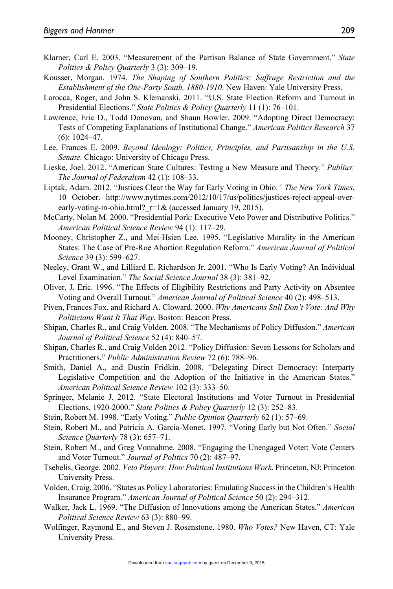- Klarner, Carl E. 2003. "Measurement of the Partisan Balance of State Government." *State Politics & Policy Quarterly* 3 (3): 309–19.
- Kousser, Morgan. 1974. *The Shaping of Southern Politics: Suffrage Restriction and the Establishment of the One-Party South, 1880-1910*. New Haven: Yale University Press.
- Larocca, Roger, and John S. Klemanski. 2011. "U.S. State Election Reform and Turnout in Presidential Elections." *State Politics & Policy Quarterly* 11 (1): 76–101.
- Lawrence, Eric D., Todd Donovan, and Shaun Bowler. 2009. "Adopting Direct Democracy: Tests of Competing Explanations of Institutional Change." *American Politics Research* 37 (6): 1024–47.
- Lee, Frances E. 2009. *Beyond Ideology: Politics, Principles, and Partisanship in the U.S. Senate*. Chicago: University of Chicago Press.
- Lieske, Joel. 2012. "American State Cultures: Testing a New Measure and Theory." *Publius: The Journal of Federalism* 42 (1): 108–33.
- Liptak, Adam. 2012. "Justices Clear the Way for Early Voting in Ohio.*" The New York Times*, 10 October. [http://www.nytimes.com/2012/10/17/us/politics/justices-reject-appeal-over](http://www.nytimes.com/2012/10/17/us/politics/justices-reject-appeal-over-early-voting-in-ohio.html?_r=1&)early-voting-in-ohio.html?  $r=1&$  (accessed January 19, 2015).
- McCarty, Nolan M. 2000. "Presidential Pork: Executive Veto Power and Distributive Politics." *American Political Science Review* 94 (1): 117–29.
- Mooney, Christopher Z., and Mei-Hsien Lee. 1995. "Legislative Morality in the American States: The Case of Pre-Roe Abortion Regulation Reform." *American Journal of Political Science* 39 (3): 599–627.
- Neeley, Grant W., and Lilliard E. Richardson Jr. 2001. "Who Is Early Voting? An Individual Level Examination." *The Social Science Journal* 38 (3): 381–92.
- Oliver, J. Eric. 1996. "The Effects of Eligibility Restrictions and Party Activity on Absentee Voting and Overall Turnout." *American Journal of Political Science* 40 (2): 498–513.
- Piven, Frances Fox, and Richard A. Cloward. 2000. *Why Americans Still Don't Vote: And Why Politicians Want It That Way*. Boston: Beacon Press.
- Shipan, Charles R., and Craig Volden. 2008. "The Mechanisms of Policy Diffusion." *American Journal of Political Science* 52 (4): 840–57.
- Shipan, Charles R., and Craig Volden 2012. "Policy Diffusion: Seven Lessons for Scholars and Practitioners." *Public Administration Review* 72 (6): 788–96.
- Smith, Daniel A., and Dustin Fridkin. 2008. "Delegating Direct Democracy: Interparty Legislative Competition and the Adoption of the Initiative in the American States." *American Political Science Review* 102 (3): 333–50.
- Springer, Melanie J. 2012. "State Electoral Institutions and Voter Turnout in Presidential Elections, 1920-2000." *State Politics & Policy Quarterly* 12 (3): 252–83.
- Stein, Robert M. 1998. "Early Voting." *Public Opinion Quarterly* 62 (1): 57–69.
- Stein, Robert M., and Patricia A. Garcia-Monet. 1997. "Voting Early but Not Often." *Social Science Quarterly* 78 (3): 657–71.
- Stein, Robert M., and Greg Vonnahme. 2008. "Engaging the Unengaged Voter: Vote Centers and Voter Turnout." *Journal of Politics* 70 (2): 487–97.
- Tsebelis, George. 2002. *Veto Players: How Political Institutions Work*. Princeton, NJ: Princeton University Press.
- Volden, Craig. 2006. "States as Policy Laboratories: Emulating Success in the Children's Health Insurance Program." *American Journal of Political Science* 50 (2): 294–312.
- Walker, Jack L. 1969. "The Diffusion of Innovations among the American States." *American Political Science Review* 63 (3): 880–99.
- Wolfinger, Raymond E., and Steven J. Rosenstone. 1980. *Who Votes?* New Haven, CT: Yale University Press.